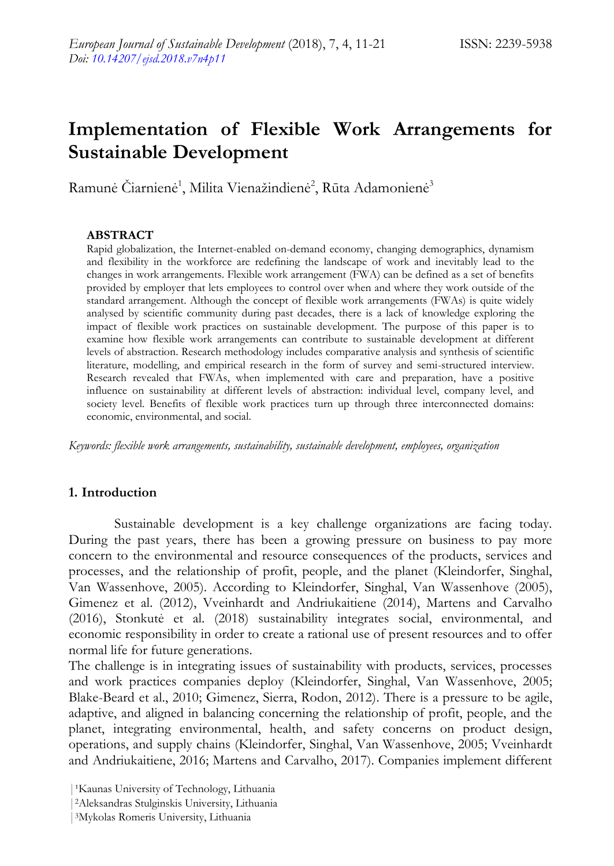# **Implementation of Flexible Work Arrangements for Sustainable Development**

Ramunė Čiarnienė<sup>1</sup>, Milita Vienažindienė<sup>2</sup>, Rūta Adamonienė<sup>3</sup>

# **ABSTRACT**

Rapid globalization, the Internet-enabled on-demand economy, changing demographics, dynamism and flexibility in the workforce are redefining the landscape of work and inevitably lead to the changes in work arrangements. Flexible work arrangement (FWA) can be defined as a set of benefits provided by employer that lets employees to control over when and where they work outside of the standard arrangement. Although the concept of flexible work arrangements (FWAs) is quite widely analysed by scientific community during past decades, there is a lack of knowledge exploring the impact of flexible work practices on sustainable development. The purpose of this paper is to examine how flexible work arrangements can contribute to sustainable development at different levels of abstraction. Research methodology includes comparative analysis and synthesis of scientific literature, modelling, and empirical research in the form of survey and semi-structured interview. Research revealed that FWAs, when implemented with care and preparation, have a positive influence on sustainability at different levels of abstraction: individual level, company level, and society level. Benefits of flexible work practices turn up through three interconnected domains: economic, environmental, and social.

*Keywords: flexible work arrangements, sustainability, sustainable development, employees, organization*

# **1. Introduction**

Sustainable development is a key challenge organizations are facing today. During the past years, there has been a growing pressure on business to pay more concern to the environmental and resource consequences of the products, services and processes, and the relationship of profit, people, and the planet (Kleindorfer, Singhal, Van Wassenhove, 2005). According to Kleindorfer, Singhal, Van Wassenhove (2005), Gimenez et al. (2012), Vveinhardt and Andriukaitiene (2014), Martens and Carvalho (2016), Stonkutė et al. (2018) sustainability integrates social, environmental, and economic responsibility in order to create a rational use of present resources and to offer normal life for future generations.

The challenge is in integrating issues of sustainability with products, services, processes and work practices companies deploy (Kleindorfer, Singhal, Van Wassenhove, 2005; Blake-Beard et al., 2010; Gimenez, Sierra, Rodon, 2012). There is a pressure to be agile, adaptive, and aligned in balancing concerning the relationship of profit, people, and the planet, integrating environmental, health, and safety concerns on product design, operations, and supply chains (Kleindorfer, Singhal, Van Wassenhove, 2005; Vveinhardt and Andriukaitiene, 2016; Martens and Carvalho, 2017). Companies implement different

<sup>&</sup>lt;sup>1</sup>Kaunas University of Technology, Lithuania

<sup>|</sup>2Aleksandras Stulginskis University, Lithuania

<sup>|</sup>3Mykolas Romeris University, Lithuania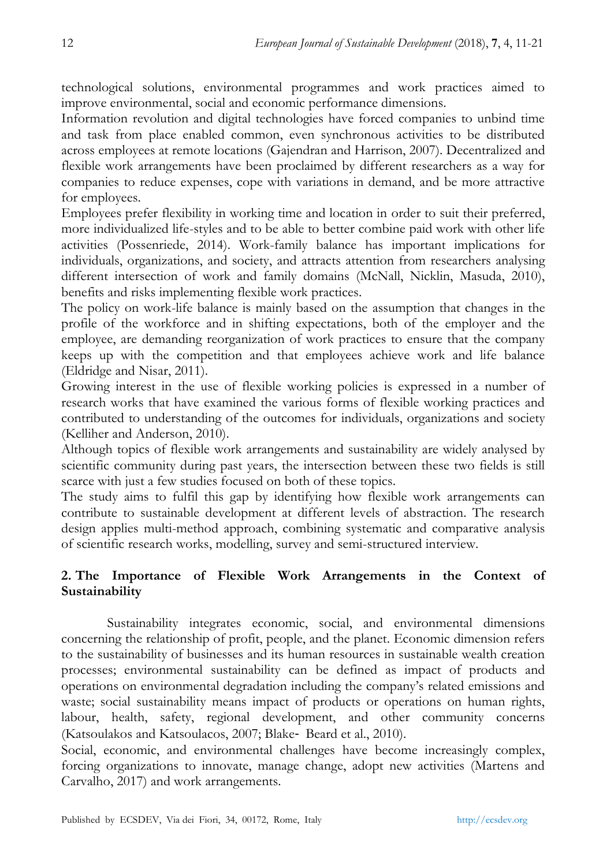technological solutions, environmental programmes and work practices aimed to improve environmental, social and economic performance dimensions.

Information revolution and digital technologies have forced companies to unbind time and task from place enabled common, even synchronous activities to be distributed across employees at remote locations (Gajendran and Harrison, 2007). Decentralized and flexible work arrangements have been proclaimed by different researchers as a way for companies to reduce expenses, cope with variations in demand, and be more attractive for employees.

Employees prefer flexibility in working time and location in order to suit their preferred, more individualized life-styles and to be able to better combine paid work with other life activities (Possenriede, 2014). Work-family balance has important implications for individuals, organizations, and society, and attracts attention from researchers analysing different intersection of work and family domains (McNall, Nicklin, Masuda, 2010), benefits and risks implementing flexible work practices.

The policy on work-life balance is mainly based on the assumption that changes in the profile of the workforce and in shifting expectations, both of the employer and the employee, are demanding reorganization of work practices to ensure that the company keeps up with the competition and that employees achieve work and life balance (Eldridge and Nisar, 2011).

Growing interest in the use of flexible working policies is expressed in a number of research works that have examined the various forms of flexible working practices and contributed to understanding of the outcomes for individuals, organizations and society (Kelliher and Anderson, 2010).

Although topics of flexible work arrangements and sustainability are widely analysed by scientific community during past years, the intersection between these two fields is still scarce with just a few studies focused on both of these topics.

The study aims to fulfil this gap by identifying how flexible work arrangements can contribute to sustainable development at different levels of abstraction. The research design applies multi-method approach, combining systematic and comparative analysis of scientific research works, modelling, survey and semi-structured interview.

# **2. The Importance of Flexible Work Arrangements in the Context of Sustainability**

Sustainability integrates economic, social, and environmental dimensions concerning the relationship of profit, people, and the planet. Economic dimension refers to the sustainability of businesses and its human resources in sustainable wealth creation processes; environmental sustainability can be defined as impact of products and operations on environmental degradation including the company's related emissions and waste; social sustainability means impact of products or operations on human rights, labour, health, safety, regional development, and other community concerns (Katsoulakos and Katsoulacos, 2007; Blake‐ Beard et al., 2010).

Social, economic, and environmental challenges have become increasingly complex, forcing organizations to innovate, manage change, adopt new activities (Martens and Carvalho, 2017) and work arrangements.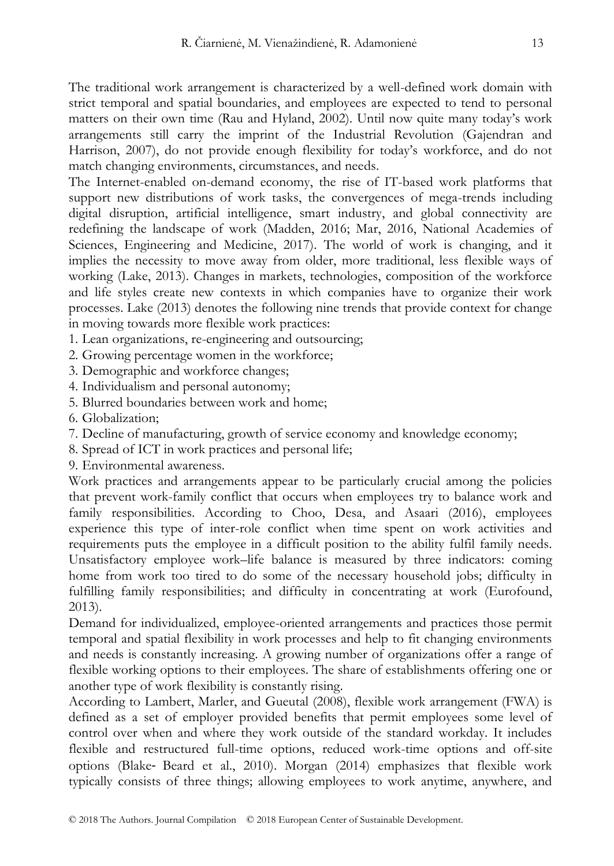The traditional work arrangement is characterized by a well-defined work domain with strict temporal and spatial boundaries, and employees are expected to tend to personal matters on their own time (Rau and Hyland, 2002). Until now quite many today's work arrangements still carry the imprint of the Industrial Revolution (Gajendran and Harrison, 2007), do not provide enough flexibility for today's workforce, and do not match changing environments, circumstances, and needs.

The Internet-enabled on-demand economy, the rise of IT-based work platforms that support new distributions of work tasks, the convergences of mega-trends including digital disruption, artificial intelligence, smart industry, and global connectivity are redefining the landscape of work (Madden, 2016; Mar, 2016, National Academies of Sciences, Engineering and Medicine, 2017). The world of work is changing, and it implies the necessity to move away from older, more traditional, less flexible ways of working (Lake, 2013). Changes in markets, technologies, composition of the workforce and life styles create new contexts in which companies have to organize their work processes. Lake (2013) denotes the following nine trends that provide context for change in moving towards more flexible work practices:

- 1. Lean organizations, re-engineering and outsourcing;
- 2. Growing percentage women in the workforce;
- 3. Demographic and workforce changes;
- 4. Individualism and personal autonomy;
- 5. Blurred boundaries between work and home;
- 6. Globalization;
- 7. Decline of manufacturing, growth of service economy and knowledge economy;
- 8. Spread of ICT in work practices and personal life;
- 9. Environmental awareness.

Work practices and arrangements appear to be particularly crucial among the policies that prevent work-family conflict that occurs when employees try to balance work and family responsibilities. According to Choo, Desa, and Asaari (2016), employees experience this type of inter-role conflict when time spent on work activities and requirements puts the employee in a difficult position to the ability fulfil family needs. Unsatisfactory employee work–life balance is measured by three indicators: coming home from work too tired to do some of the necessary household jobs; difficulty in fulfilling family responsibilities; and difficulty in concentrating at work (Eurofound, 2013).

Demand for individualized, employee-oriented arrangements and practices those permit temporal and spatial flexibility in work processes and help to fit changing environments and needs is constantly increasing. A growing number of organizations offer a range of flexible working options to their employees. The share of establishments offering one or another type of work flexibility is constantly rising.

According to Lambert, Marler, and Gueutal (2008), flexible work arrangement (FWA) is defined as a set of employer provided benefits that permit employees some level of control over when and where they work outside of the standard workday. It includes flexible and restructured full-time options, reduced work-time options and off-site options (Blake‐ Beard et al., 2010). Morgan (2014) emphasizes that flexible work typically consists of three things; allowing employees to work anytime, anywhere, and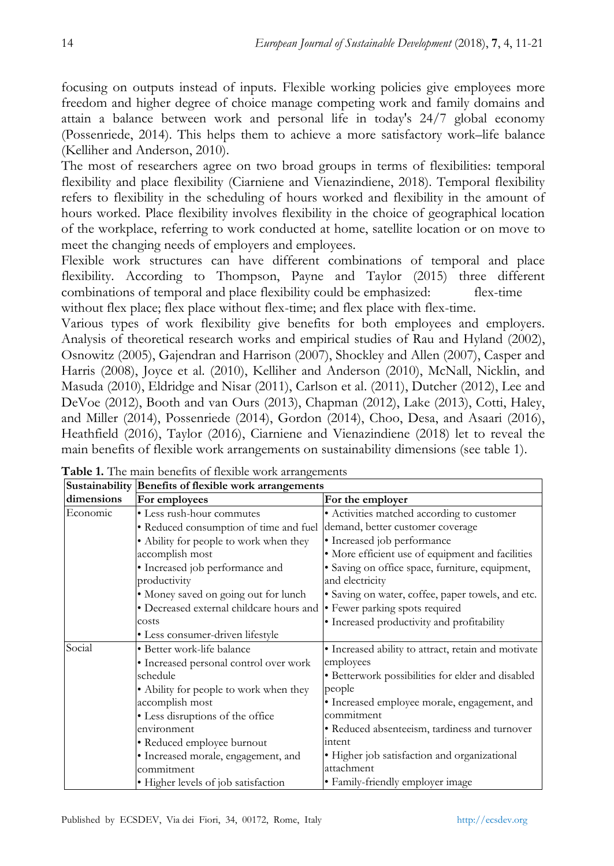focusing on outputs instead of inputs. Flexible working policies give employees more freedom and higher degree of choice manage competing work and family domains and attain a balance between work and personal life in today's 24/7 global economy (Possenriede, 2014). This helps them to achieve a more satisfactory work–life balance (Kelliher and Anderson, 2010).

The most of researchers agree on two broad groups in terms of flexibilities: temporal flexibility and place flexibility (Ciarniene and Vienazindiene, 2018). Temporal flexibility refers to flexibility in the scheduling of hours worked and flexibility in the amount of hours worked. Place flexibility involves flexibility in the choice of geographical location of the workplace, referring to work conducted at home, satellite location or on move to meet the changing needs of employers and employees.

Flexible work structures can have different combinations of temporal and place flexibility. According to Thompson, Payne and Taylor (2015) three different combinations of temporal and place flexibility could be emphasized: flex-time without flex place; flex place without flex-time; and flex place with flex-time.

Various types of work flexibility give benefits for both employees and employers. Analysis of theoretical research works and empirical studies of Rau and Hyland (2002), Osnowitz (2005), Gajendran and Harrison (2007), Shockley and Allen (2007), Casper and Harris (2008), Joyce et al. (2010), Kelliher and Anderson (2010), McNall, Nicklin, and Masuda (2010), Eldridge and Nisar (2011), Carlson et al. (2011), Dutcher (2012), Lee and DeVoe (2012), Booth and van Ours (2013), Chapman (2012), Lake (2013), Cotti, Haley, and Miller (2014), Possenriede (2014), Gordon (2014), Choo, Desa, and Asaari (2016), Heathfield (2016), Taylor (2016), Ciarniene and Vienazindiene (2018) let to reveal the main benefits of flexible work arrangements on sustainability dimensions (see table 1).

|            | Sustainability Benefits of flexible work arrangements |                                                     |  |
|------------|-------------------------------------------------------|-----------------------------------------------------|--|
| dimensions | For employees                                         | For the employer                                    |  |
| Economic   | • Less rush-hour commutes                             | • Activities matched according to customer          |  |
|            | • Reduced consumption of time and fuel                | demand, better customer coverage                    |  |
|            | • Ability for people to work when they                | • Increased job performance                         |  |
|            | accomplish most                                       | • More efficient use of equipment and facilities    |  |
|            | • Increased job performance and                       | • Saving on office space, furniture, equipment,     |  |
|            | productivity                                          | and electricity                                     |  |
|            | • Money saved on going out for lunch                  | · Saving on water, coffee, paper towels, and etc.   |  |
|            | • Decreased external childcare hours and              | • Fewer parking spots required                      |  |
|            | costs                                                 | • Increased productivity and profitability          |  |
|            | • Less consumer-driven lifestyle                      |                                                     |  |
| Social     | • Better work-life balance                            | • Increased ability to attract, retain and motivate |  |
|            | · Increased personal control over work                | employees                                           |  |
|            | schedule                                              | • Betterwork possibilities for elder and disabled   |  |
|            | • Ability for people to work when they                | people                                              |  |
|            | accomplish most                                       | • Increased employee morale, engagement, and        |  |
|            | · Less disruptions of the office                      | commitment                                          |  |
|            | environment                                           | • Reduced absenteeism, tardiness and turnover       |  |
|            | • Reduced employee burnout                            | intent                                              |  |
|            | • Increased morale, engagement, and                   | • Higher job satisfaction and organizational        |  |
|            | commitment                                            | attachment                                          |  |
|            | • Higher levels of job satisfaction                   | • Family-friendly employer image                    |  |

**Table 1.** The main benefits of flexible work arrangements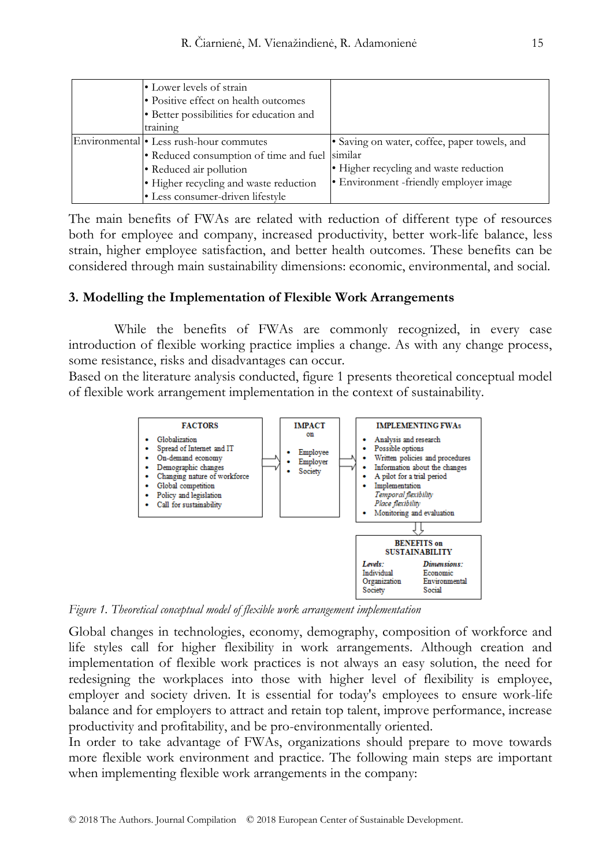| • Lower levels of strain                       |                                              |
|------------------------------------------------|----------------------------------------------|
| • Positive effect on health outcomes           |                                              |
| · Better possibilities for education and       |                                              |
| training                                       |                                              |
| Environmental • Less rush-hour commutes        | • Saving on water, coffee, paper towels, and |
| • Reduced consumption of time and fuel similar |                                              |
| • Reduced air pollution                        | • Higher recycling and waste reduction       |
| • Higher recycling and waste reduction         | • Environment -friendly employer image       |
| • Less consumer-driven lifestyle               |                                              |

The main benefits of FWAs are related with reduction of different type of resources both for employee and company, increased productivity, better work-life balance, less strain, higher employee satisfaction, and better health outcomes. These benefits can be considered through main sustainability dimensions: economic, environmental, and social.

#### **3. Modelling the Implementation of Flexible Work Arrangements**

While the benefits of FWAs are commonly recognized, in every case introduction of flexible working practice implies a change. As with any change process, some resistance, risks and disadvantages can occur.

Based on the literature analysis conducted, figure 1 presents theoretical conceptual model of flexible work arrangement implementation in the context of sustainability.



*Figure 1. Theoretical conceptual model of flexible work arrangement implementation*

Global changes in technologies, economy, demography, composition of workforce and life styles call for higher flexibility in work arrangements. Although creation and implementation of flexible work practices is not always an easy solution, the need for redesigning the workplaces into those with higher level of flexibility is employee, employer and society driven. It is essential for today's employees to ensure work-life balance and for employers to attract and retain top talent, improve performance, increase productivity and profitability, and be pro-environmentally oriented.

In order to take advantage of FWAs, organizations should prepare to move towards more flexible work environment and practice. The following main steps are important when implementing flexible work arrangements in the company: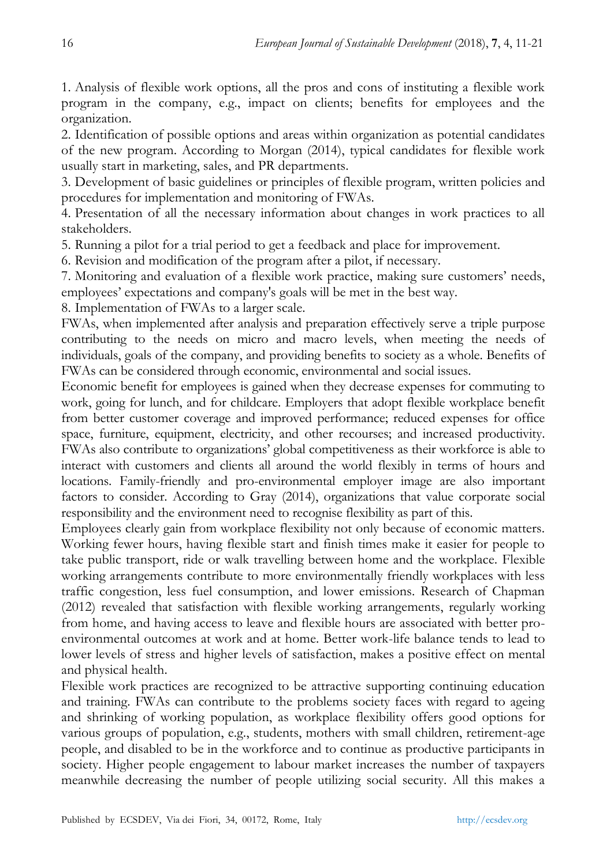1. Analysis of flexible work options, all the pros and cons of instituting a flexible work program in the company, e.g., impact on clients; benefits for employees and the organization.

2. Identification of possible options and areas within organization as potential candidates of the new program. According to Morgan (2014), typical candidates for flexible work usually start in marketing, sales, and PR departments.

3. Development of basic guidelines or principles of flexible program, written policies and procedures for implementation and monitoring of FWAs.

4. Presentation of all the necessary information about changes in work practices to all stakeholders.

5. Running a pilot for a trial period to get a feedback and place for improvement.

6. Revision and modification of the program after a pilot, if necessary.

7. Monitoring and evaluation of a flexible work practice, making sure customers' needs, employees' expectations and company's goals will be met in the best way.

8. Implementation of FWAs to a larger scale.

FWAs, when implemented after analysis and preparation effectively serve a triple purpose contributing to the needs on micro and macro levels, when meeting the needs of individuals, goals of the company, and providing benefits to society as a whole. Benefits of FWAs can be considered through economic, environmental and social issues.

Economic benefit for employees is gained when they decrease expenses for commuting to work, going for lunch, and for childcare. Employers that adopt flexible workplace benefit from better customer coverage and improved performance; reduced expenses for office space, furniture, equipment, electricity, and other recourses; and increased productivity. FWAs also contribute to organizations' global competitiveness as their workforce is able to interact with customers and clients all around the world flexibly in terms of hours and locations. Family-friendly and pro-environmental employer image are also important factors to consider. According to Gray (2014), organizations that value corporate social responsibility and the environment need to recognise flexibility as part of this.

Employees clearly gain from workplace flexibility not only because of economic matters. Working fewer hours, having flexible start and finish times make it easier for people to take public transport, ride or walk travelling between home and the workplace. Flexible working arrangements contribute to more environmentally friendly workplaces with less traffic congestion, less fuel consumption, and lower emissions. Research of Chapman (2012) revealed that satisfaction with flexible working arrangements, regularly working from home, and having access to leave and flexible hours are associated with better proenvironmental outcomes at work and at home. Better work-life balance tends to lead to lower levels of stress and higher levels of satisfaction, makes a positive effect on mental and physical health.

Flexible work practices are recognized to be attractive supporting continuing education and training. FWAs can contribute to the problems society faces with regard to ageing and shrinking of working population, as workplace flexibility offers good options for various groups of population, e.g., students, mothers with small children, retirement-age people, and disabled to be in the workforce and to continue as productive participants in society. Higher people engagement to labour market increases the number of taxpayers meanwhile decreasing the number of people utilizing social security. All this makes a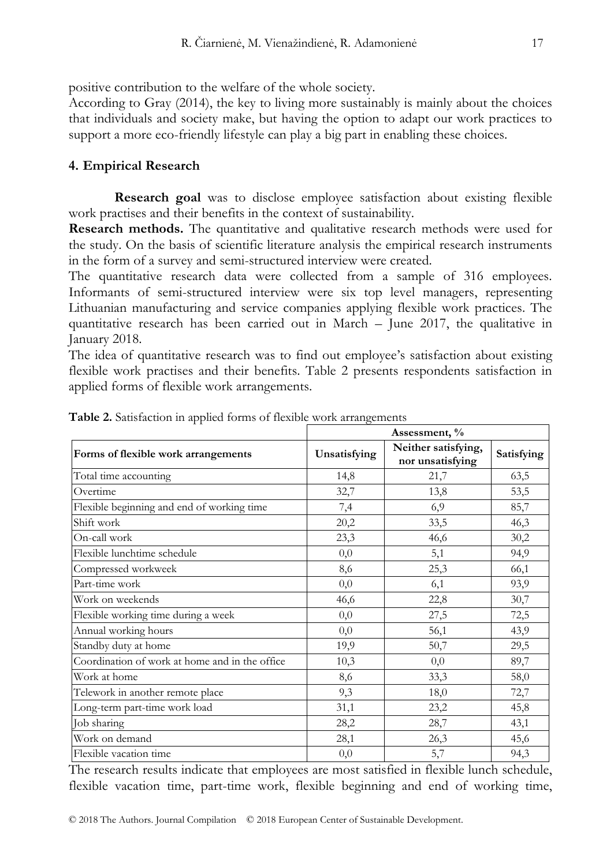positive contribution to the welfare of the whole society.

According to Gray (2014), the key to living more sustainably is mainly about the choices that individuals and society make, but having the option to adapt our work practices to support a more eco-friendly lifestyle can play a big part in enabling these choices.

# **4. Empirical Research**

**Research goal** was to disclose employee satisfaction about existing flexible work practises and their benefits in the context of sustainability.

**Research methods.** The quantitative and qualitative research methods were used for the study. On the basis of scientific literature analysis the empirical research instruments in the form of a survey and semi-structured interview were created.

The quantitative research data were collected from a sample of 316 employees. Informants of semi-structured interview were six top level managers, representing Lithuanian manufacturing and service companies applying flexible work practices. The quantitative research has been carried out in March – June 2017, the qualitative in January 2018.

The idea of quantitative research was to find out employee's satisfaction about existing flexible work practises and their benefits. Table 2 presents respondents satisfaction in applied forms of flexible work arrangements.

|                                                |              | Assessment, %                           |            |
|------------------------------------------------|--------------|-----------------------------------------|------------|
| Forms of flexible work arrangements            | Unsatisfying | Neither satisfying,<br>nor unsatisfying | Satisfying |
| Total time accounting                          | 14,8         | 21,7                                    | 63,5       |
| Overtime                                       | 32,7         | 13,8                                    | 53,5       |
| Flexible beginning and end of working time     | 7,4          | 6,9                                     | 85,7       |
| Shift work                                     | 20,2         | 33,5                                    | 46,3       |
| On-call work                                   | 23,3         | 46,6                                    | 30,2       |
| Flexible lunchtime schedule                    | 0,0          | 5,1                                     | 94,9       |
| Compressed workweek                            | 8,6          | 25,3                                    | 66,1       |
| Part-time work                                 | 0,0          | 6,1                                     | 93,9       |
| Work on weekends                               | 46,6         | 22,8                                    | 30,7       |
| Flexible working time during a week            | 0,0          | 27,5                                    | 72,5       |
| Annual working hours                           | 0,0          | 56,1                                    | 43,9       |
| Standby duty at home                           | 19,9         | 50,7                                    | 29,5       |
| Coordination of work at home and in the office | 10,3         | 0,0                                     | 89,7       |
| Work at home                                   | 8,6          | 33,3                                    | 58,0       |
| Telework in another remote place               | 9,3          | 18,0                                    | 72,7       |
| Long-term part-time work load                  | 31,1         | 23,2                                    | 45,8       |
| Job sharing                                    | 28,2         | 28,7                                    | 43,1       |
| Work on demand                                 | 28,1         | 26,3                                    | 45,6       |
| Flexible vacation time                         | 0,0          | 5,7                                     | 94,3       |

**Table 2.** Satisfaction in applied forms of flexible work arrangements

The research results indicate that employees are most satisfied in flexible lunch schedule, flexible vacation time, part-time work, flexible beginning and end of working time,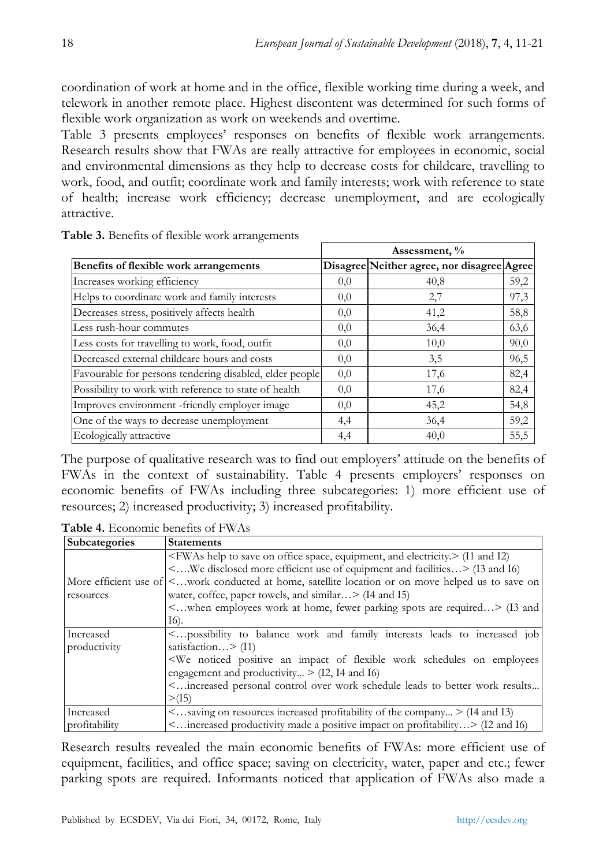coordination of work at home and in the office, flexible working time during a week, and telework in another remote place. Highest discontent was determined for such forms of flexible work organization as work on weekends and overtime.

Table 3 presents employees' responses on benefits of flexible work arrangements. Research results show that FWAs are really attractive for employees in economic, social and environmental dimensions as they help to decrease costs for childcare, travelling to work, food, and outfit; coordinate work and family interests; work with reference to state of health; increase work efficiency; decrease unemployment, and are ecologically attractive.

|                                                         | Assessment, % |                                            |      |
|---------------------------------------------------------|---------------|--------------------------------------------|------|
| Benefits of flexible work arrangements                  |               | Disagree Neither agree, nor disagree Agree |      |
| Increases working efficiency                            | 0,0           | 40,8                                       | 59,2 |
| Helps to coordinate work and family interests           | 0,0           | 2,7                                        | 97,3 |
| Decreases stress, positively affects health             | 0,0           | 41,2                                       | 58,8 |
| Less rush-hour commutes                                 | 0,0           | 36,4                                       | 63,6 |
| Less costs for travelling to work, food, outfit         | 0,0           | 10,0                                       | 90,0 |
| Decreased external childcare hours and costs            | 0,0           | 3,5                                        | 96,5 |
| Favourable for persons tendering disabled, elder people | 0,0           | 17,6                                       | 82,4 |
| Possibility to work with reference to state of health   | 0,0           | 17,6                                       | 82,4 |
| Improves environment -friendly employer image           | 0,0           | 45,2                                       | 54,8 |
| One of the ways to decrease unemployment                | 4,4           | 36,4                                       | 59,2 |
| Ecologically attractive                                 | 4,4           | 40,0                                       | 55,5 |

**Table 3.** Benefits of flexible work arrangements

The purpose of qualitative research was to find out employers' attitude on the benefits of FWAs in the context of sustainability. Table 4 presents employers' responses on economic benefits of FWAs including three subcategories: 1) more efficient use of resources; 2) increased productivity; 3) increased profitability.

**Subcategories Statements** More efficient use of  $\leq$ ...work conducted at home, satellite location or on move helped us to save on resources <FWAs help to save on office space, equipment, and electricity.> (I1 and I2) <….We disclosed more efficient use of equipment and facilities…> (I3 and I6) water, coffee, paper towels, and similar… > (I4 and I5) <…when employees work at home, fewer parking spots are required…> (I3 and I6). Increased productivity <…possibility to balance work and family interests leads to increased job satisfaction…> (I1) <We noticed positive an impact of flexible work schedules on employees engagement and productivity...  $>$  (I2, I4 and I6) <…increased personal control over work schedule leads to better work results...  $>(15)$ Increased profitability <…saving on resources increased profitability of the company... > (I4 and I3) <…increased productivity made a positive impact on profitability…> (I2 and I6)

**Table 4.** Economic benefits of FWAs

Research results revealed the main economic benefits of FWAs: more efficient use of equipment, facilities, and office space; saving on electricity, water, paper and etc.; fewer parking spots are required. Informants noticed that application of FWAs also made a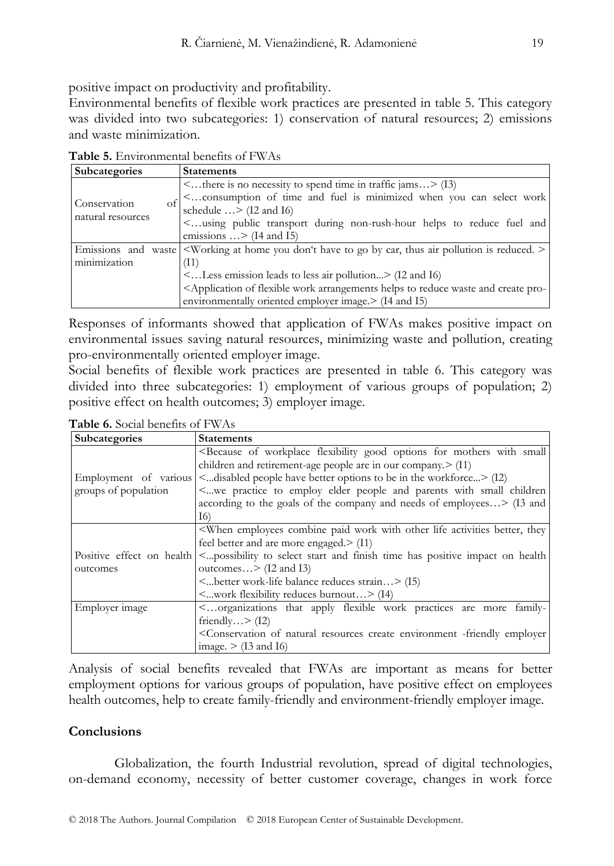positive impact on productivity and profitability.

Environmental benefits of flexible work practices are presented in table 5. This category was divided into two subcategories: 1) conservation of natural resources; 2) emissions and waste minimization.

| Subcategories                           | <b>Statements</b>                                                                                                                                                                                                                                                                                                                            |
|-----------------------------------------|----------------------------------------------------------------------------------------------------------------------------------------------------------------------------------------------------------------------------------------------------------------------------------------------------------------------------------------------|
| Conservation<br>Ωŧ<br>natural resources | $\leq$ there is no necessity to spend time in traffic jams $>$ (I3)<br>< consumption of time and fuel is minimized when you can select work<br>schedule $\ldots$ > (12 and 16)<br><using and<br="" during="" fuel="" helps="" non-rush-hour="" public="" reduce="" to="" transport="">emissions <math>\ldots</math> &gt; (14 and 15)</using> |
| Emissions and                           | waste $\leq$ Working at home you don't have to go by car, thus air pollution is reduced. $\geq$                                                                                                                                                                                                                                              |
| minimization                            | (11)                                                                                                                                                                                                                                                                                                                                         |
|                                         | $\leq$ Less emission leads to less air pollution $\geq$ (I2 and I6)                                                                                                                                                                                                                                                                          |
|                                         | <application and="" arrangements="" create="" flexible="" helps="" of="" pro-<="" reduce="" td="" to="" waste="" work=""></application>                                                                                                                                                                                                      |
|                                         | environmentally oriented employer image. > (I4 and I5)                                                                                                                                                                                                                                                                                       |

**Table 5.** Environmental benefits of FWAs

Responses of informants showed that application of FWAs makes positive impact on environmental issues saving natural resources, minimizing waste and pollution, creating pro-environmentally oriented employer image.

Social benefits of flexible work practices are presented in table 6. This category was divided into three subcategories: 1) employment of various groups of population; 2) positive effect on health outcomes; 3) employer image.

**Table 6.** Social benefits of FWAs

| Subcategories                                 | <b>Statements</b>                                                                                                                                                                                                                                                                                                                                                                                                                                                                    |
|-----------------------------------------------|--------------------------------------------------------------------------------------------------------------------------------------------------------------------------------------------------------------------------------------------------------------------------------------------------------------------------------------------------------------------------------------------------------------------------------------------------------------------------------------|
| Employment of various<br>groups of population | <because flexibility="" for="" good="" mothers="" of="" options="" small<br="" with="" workplace="">children and retirement-age people are in our company.<math>&gt;</math> (I1)<br/><disabled be="" better="" have="" in="" options="" people="" the="" to="" workforce=""> (I2)<br/>&lt; we practice to employ elder people and parents with small children<br/>according to the goals of the company and needs of employees&gt; (I3 and<br/>16)</disabled></because>              |
| outcomes                                      | <when activities="" better,="" combine="" employees="" life="" other="" paid="" they<br="" with="" work="">feel better and are more engaged. &gt; (I1)<br/>Positive effect on health <a> <a>possibility to select start and finish time has positive impact on health<br/>outcomes <math>&gt;</math> (I2 and I3)<br/><better balance="" reduces="" strain="" work-life=""> (15)<br/><math>\leq</math>work flexibility reduces burnout <math>&gt;</math> (14)</better></a></a></when> |
| Employer image                                | <organizations apply="" are="" family-<br="" flexible="" more="" practices="" that="" work="">friendly <math>&gt;</math> (12)<br/><conservation -friendly="" create="" employer<br="" environment="" natural="" of="" resources="">image. <math>&gt;</math> (13 and 16)</conservation></organizations>                                                                                                                                                                               |

Analysis of social benefits revealed that FWAs are important as means for better employment options for various groups of population, have positive effect on employees health outcomes, help to create family-friendly and environment-friendly employer image.

# **Conclusions**

Globalization, the fourth Industrial revolution, spread of digital technologies, on-demand economy, necessity of better customer coverage, changes in work force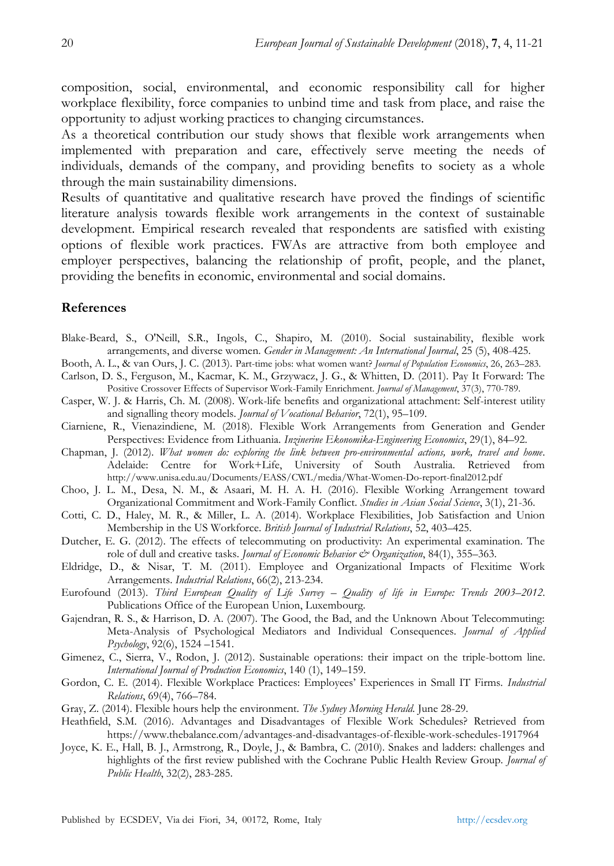composition, social, environmental, and economic responsibility call for higher workplace flexibility, force companies to unbind time and task from place, and raise the opportunity to adjust working practices to changing circumstances.

As a theoretical contribution our study shows that flexible work arrangements when implemented with preparation and care, effectively serve meeting the needs of individuals, demands of the company, and providing benefits to society as a whole through the main sustainability dimensions.

Results of quantitative and qualitative research have proved the findings of scientific literature analysis towards flexible work arrangements in the context of sustainable development. Empirical research revealed that respondents are satisfied with existing options of flexible work practices. FWAs are attractive from both employee and employer perspectives, balancing the relationship of profit, people, and the planet, providing the benefits in economic, environmental and social domains.

# **References**

- Blake-Beard, S., O'Neill, S.R., Ingols, C., Shapiro, M. (2010). Social sustainability, flexible work arrangements, and diverse women. *Gender in Management: An International Journal*, 25 (5), 408-425.
- Booth, A. L., & van Ours, J. C. (2013). Part-time jobs: what women want? *Journal of Population Economics*, 26, 263–283.
- Carlson, D. S., Ferguson, M., Kacmar, K. M., Grzywacz, J. G., & Whitten, D. (2011). Pay It Forward: The Positive Crossover Effects of Supervisor Work-Family Enrichment. *Journal of Management*, 37(3), 770-789.
- Casper, W. J. & Harris, Ch. M. (2008). Work-life benefits and organizational attachment: Self-interest utility and signalling theory models. *Journal of Vocational Behavior*, 72(1), 95–109.
- Ciarniene, R., Vienazindiene, M. (2018). Flexible Work Arrangements from Generation and Gender Perspectives: Evidence from Lithuania. *Inzinerine Ekonomika-Engineering Economics*, 29(1), 84–92.
- Chapman, J. (2012). *What women do: exploring the link between pro-environmental actions, work, travel and home*. Adelaide: Centre for Work+Life, University of South Australia. Retrieved from http://www.unisa.edu.au/Documents/EASS/CWL/media/What-Women-Do-report-final2012.pdf
- Choo, J. L. M., Desa, N. M., & Asaari, M. H. A. H. (2016). Flexible Working Arrangement toward Organizational Commitment and Work-Family Conflict. *Studies in Asian Social Science*, 3(1), 21-36.
- Cotti, C. D., Haley, M. R., & Miller, L. A. (2014). Workplace Flexibilities, Job Satisfaction and Union Membership in the US Workforce. *British Journal of Industrial Relations*, 52, 403–425.
- Dutcher, E. G. (2012). The effects of telecommuting on productivity: An experimental examination. The role of dull and creative tasks. *Journal of Economic Behavior & Organization*, 84(1), 355–363.
- Eldridge, D., & Nisar, T. M. (2011). Employee and Organizational Impacts of Flexitime Work Arrangements. *Industrial Relations*, 66(2), 213-234.
- Eurofound (2013). *Third European Quality of Life Survey – Quality of life in Europe: Trends 2003–2012*. Publications Office of the European Union, Luxembourg.
- Gajendran, R. S., & Harrison, D. A. (2007). The Good, the Bad, and the Unknown About Telecommuting: Meta-Analysis of Psychological Mediators and Individual Consequences. *Journal of Applied Psychology*, 92(6), 1524 –1541.
- Gimenez, C., Sierra, V., Rodon, J. (2012). Sustainable operations: their impact on the triple-bottom line. *International Journal of Production Economics*, 140 (1), 149–159.
- Gordon, C. E. (2014). Flexible Workplace Practices: Employees' Experiences in Small IT Firms. *Industrial Relations*, 69(4), 766–784.
- Gray, Z. (2014). Flexible hours help the environment. *The Sydney Morning Herald*. June 28-29.
- Heathfield, S.M. (2016). Advantages and Disadvantages of Flexible Work Schedules? Retrieved from https://www.thebalance.com/advantages-and-disadvantages-of-flexible-work-schedules-1917964
- Joyce, K. E., Hall, B. J., Armstrong, R., Doyle, J., & Bambra, C. (2010). Snakes and ladders: challenges and highlights of the first review published with the Cochrane Public Health Review Group. *Journal of Public Health*, 32(2), 283-285.